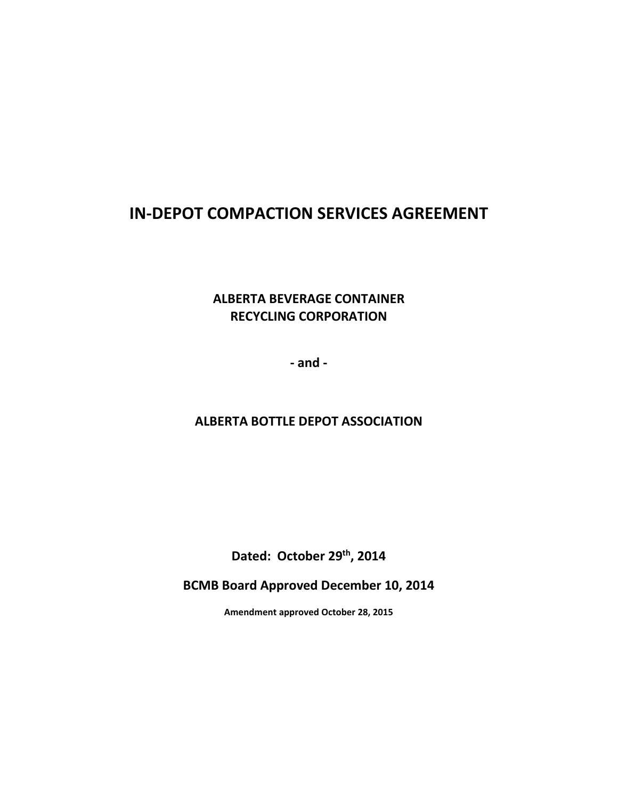# **IN-DEPOT COMPACTION SERVICES AGREEMENT**

# **ALBERTA BEVERAGE CONTAINER RECYCLING CORPORATION**

**- and -**

# **ALBERTA BOTTLE DEPOT ASSOCIATION**

**Dated: October 29th, 2014**

**BCMB Board Approved December 10, 2014**

**Amendment approved October 28, 2015**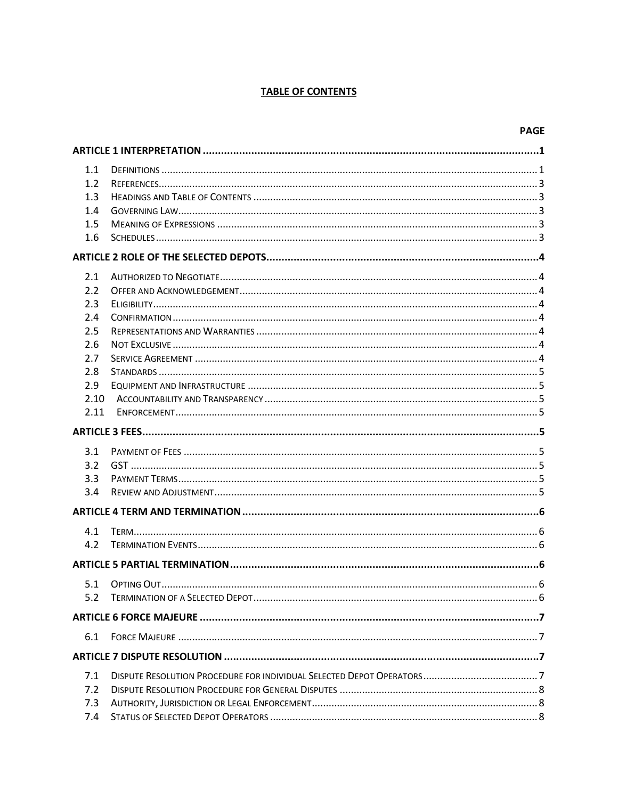# **TABLE OF CONTENTS**

|      | <b>PAGE</b> |  |
|------|-------------|--|
|      |             |  |
| 1.1  |             |  |
| 1.2  |             |  |
| 1.3  |             |  |
| 1.4  |             |  |
| 1.5  |             |  |
| 1.6  |             |  |
|      |             |  |
| 2.1  |             |  |
| 2.2  |             |  |
| 2.3  |             |  |
| 2.4  |             |  |
| 2.5  |             |  |
| 2.6  |             |  |
| 2.7  |             |  |
| 2.8  |             |  |
| 2.9  |             |  |
| 2.10 |             |  |
| 2.11 |             |  |
|      |             |  |
|      |             |  |
| 3.1  |             |  |
| 3.2  |             |  |
| 3.3  |             |  |
| 3.4  |             |  |
|      |             |  |
| 4.1  |             |  |
| 4.2  |             |  |
|      |             |  |
|      |             |  |
| 5.1  |             |  |
| 5.2  |             |  |
|      |             |  |
| 6.1  |             |  |
|      |             |  |
| 7.1  |             |  |
| 7.2  |             |  |
| 7.3  |             |  |
| 7.4  |             |  |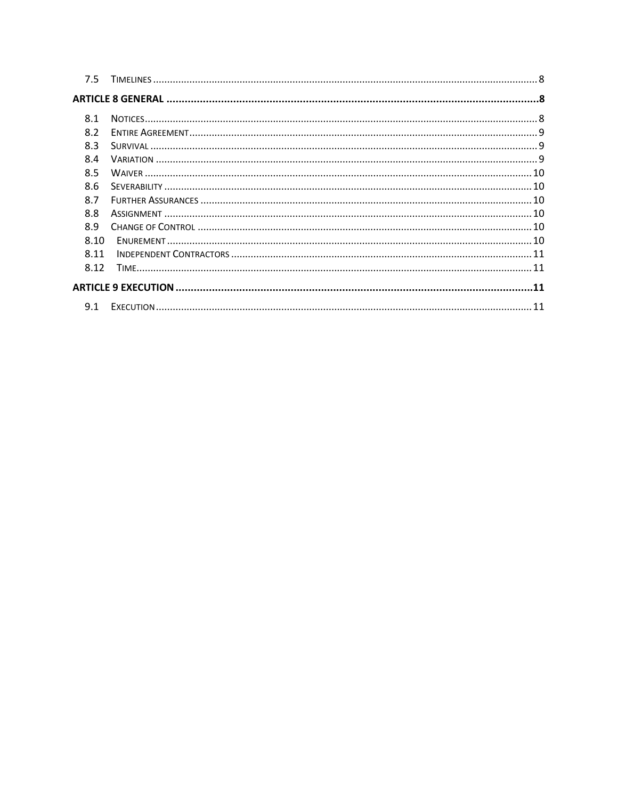| 8.1  |  |  |  |  |  |
|------|--|--|--|--|--|
| 8.2  |  |  |  |  |  |
| 8.3  |  |  |  |  |  |
| 8.4  |  |  |  |  |  |
| 8.5  |  |  |  |  |  |
| 8.6  |  |  |  |  |  |
| 8.7  |  |  |  |  |  |
| 8.8  |  |  |  |  |  |
| 8.9  |  |  |  |  |  |
| 8.10 |  |  |  |  |  |
| 8.11 |  |  |  |  |  |
| 8.12 |  |  |  |  |  |
|      |  |  |  |  |  |
| 9.1  |  |  |  |  |  |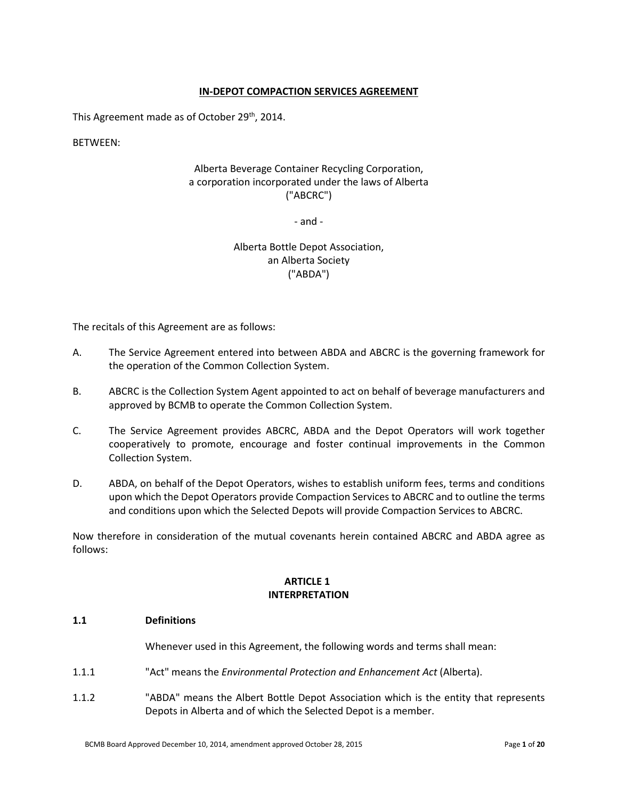#### **IN-DEPOT COMPACTION SERVICES AGREEMENT**

This Agreement made as of October 29th, 2014.

BETWEEN:

# Alberta Beverage Container Recycling Corporation, a corporation incorporated under the laws of Alberta ("ABCRC")

- and -

# Alberta Bottle Depot Association, an Alberta Society ("ABDA")

The recitals of this Agreement are as follows:

- A. The Service Agreement entered into between ABDA and ABCRC is the governing framework for the operation of the Common Collection System.
- B. ABCRC is the Collection System Agent appointed to act on behalf of beverage manufacturers and approved by BCMB to operate the Common Collection System.
- C. The Service Agreement provides ABCRC, ABDA and the Depot Operators will work together cooperatively to promote, encourage and foster continual improvements in the Common Collection System.
- D. ABDA, on behalf of the Depot Operators, wishes to establish uniform fees, terms and conditions upon which the Depot Operators provide Compaction Services to ABCRC and to outline the terms and conditions upon which the Selected Depots will provide Compaction Services to ABCRC.

Now therefore in consideration of the mutual covenants herein contained ABCRC and ABDA agree as follows:

# **ARTICLE 1 INTERPRETATION**

#### **1.1 Definitions**

- Whenever used in this Agreement, the following words and terms shall mean:
- 1.1.1 "Act" means the *Environmental Protection and Enhancement Act* (Alberta).
- 1.1.2 "ABDA" means the Albert Bottle Depot Association which is the entity that represents Depots in Alberta and of which the Selected Depot is a member.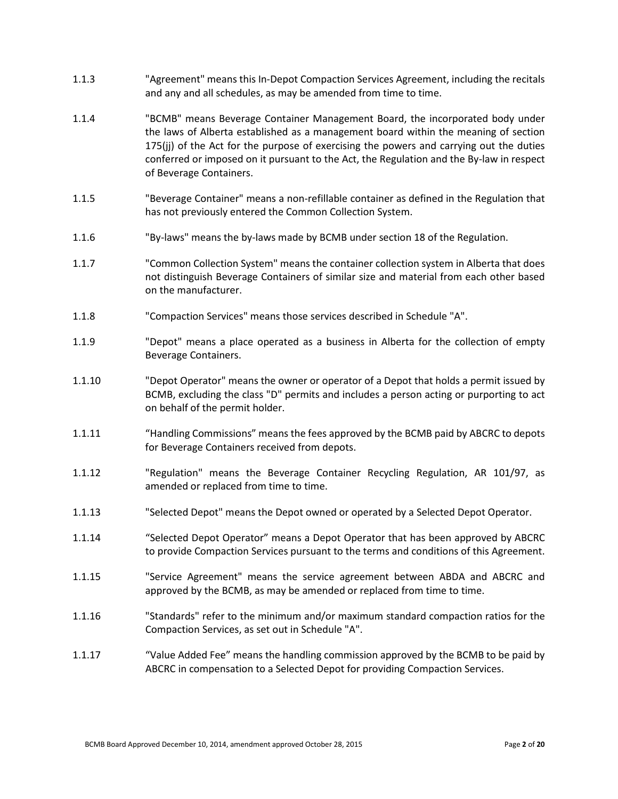- 1.1.3 "Agreement" means this In-Depot Compaction Services Agreement, including the recitals and any and all schedules, as may be amended from time to time.
- 1.1.4 "BCMB" means Beverage Container Management Board, the incorporated body under the laws of Alberta established as a management board within the meaning of section 175(jj) of the Act for the purpose of exercising the powers and carrying out the duties conferred or imposed on it pursuant to the Act, the Regulation and the By-law in respect of Beverage Containers.
- 1.1.5 "Beverage Container" means a non-refillable container as defined in the Regulation that has not previously entered the Common Collection System.
- 1.1.6 "By-laws" means the by-laws made by BCMB under section 18 of the Regulation.
- 1.1.7 "Common Collection System" means the container collection system in Alberta that does not distinguish Beverage Containers of similar size and material from each other based on the manufacturer.
- 1.1.8 "Compaction Services" means those services described in Schedule "A".
- 1.1.9 "Depot" means a place operated as a business in Alberta for the collection of empty Beverage Containers.
- 1.1.10 "Depot Operator" means the owner or operator of a Depot that holds a permit issued by BCMB, excluding the class "D" permits and includes a person acting or purporting to act on behalf of the permit holder.
- 1.1.11 "Handling Commissions" means the fees approved by the BCMB paid by ABCRC to depots for Beverage Containers received from depots.
- 1.1.12 "Regulation" means the Beverage Container Recycling Regulation, AR 101/97, as amended or replaced from time to time.
- 1.1.13 "Selected Depot" means the Depot owned or operated by a Selected Depot Operator.
- 1.1.14 "Selected Depot Operator" means a Depot Operator that has been approved by ABCRC to provide Compaction Services pursuant to the terms and conditions of this Agreement.
- 1.1.15 "Service Agreement" means the service agreement between ABDA and ABCRC and approved by the BCMB, as may be amended or replaced from time to time.
- 1.1.16 "Standards" refer to the minimum and/or maximum standard compaction ratios for the Compaction Services, as set out in Schedule "A".
- 1.1.17 "Value Added Fee" means the handling commission approved by the BCMB to be paid by ABCRC in compensation to a Selected Depot for providing Compaction Services.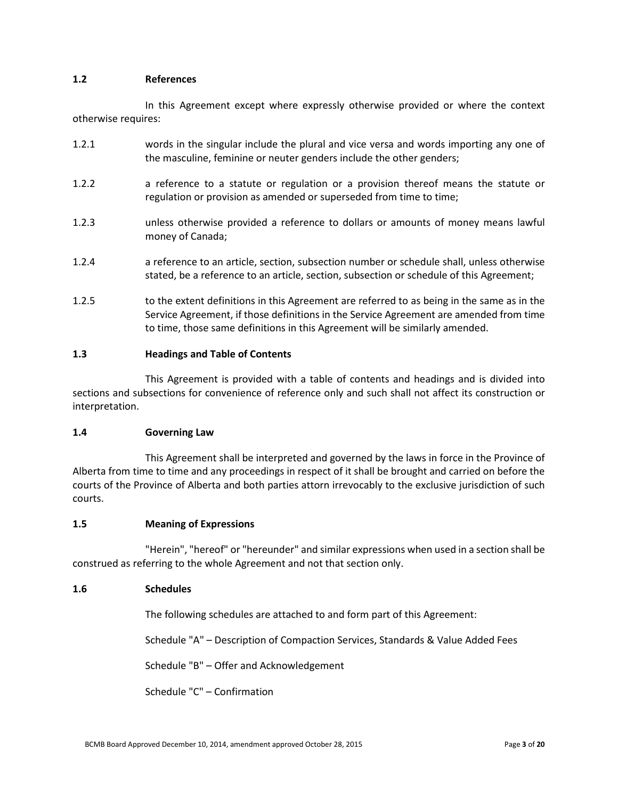# **1.2 References**

In this Agreement except where expressly otherwise provided or where the context otherwise requires:

- 1.2.1 words in the singular include the plural and vice versa and words importing any one of the masculine, feminine or neuter genders include the other genders;
- 1.2.2 a reference to a statute or regulation or a provision thereof means the statute or regulation or provision as amended or superseded from time to time;
- 1.2.3 unless otherwise provided a reference to dollars or amounts of money means lawful money of Canada;
- 1.2.4 a reference to an article, section, subsection number or schedule shall, unless otherwise stated, be a reference to an article, section, subsection or schedule of this Agreement;
- 1.2.5 to the extent definitions in this Agreement are referred to as being in the same as in the Service Agreement, if those definitions in the Service Agreement are amended from time to time, those same definitions in this Agreement will be similarly amended.

# **1.3 Headings and Table of Contents**

This Agreement is provided with a table of contents and headings and is divided into sections and subsections for convenience of reference only and such shall not affect its construction or interpretation.

#### **1.4 Governing Law**

This Agreement shall be interpreted and governed by the laws in force in the Province of Alberta from time to time and any proceedings in respect of it shall be brought and carried on before the courts of the Province of Alberta and both parties attorn irrevocably to the exclusive jurisdiction of such courts.

#### **1.5 Meaning of Expressions**

"Herein", "hereof" or "hereunder" and similar expressions when used in a section shall be construed as referring to the whole Agreement and not that section only.

#### **1.6 Schedules**

The following schedules are attached to and form part of this Agreement:

Schedule "A" – Description of Compaction Services, Standards & Value Added Fees

Schedule "B" – Offer and Acknowledgement

Schedule "C" – Confirmation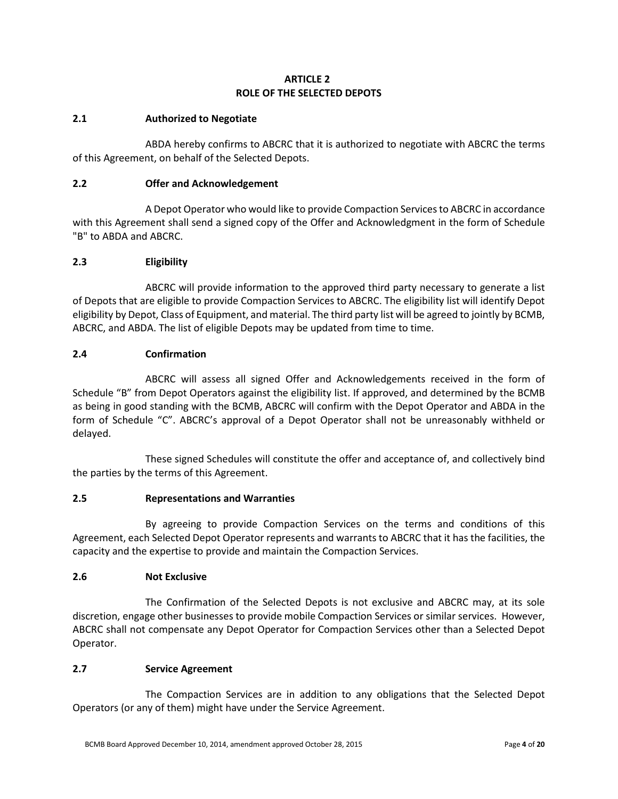# **ARTICLE 2 ROLE OF THE SELECTED DEPOTS**

# **2.1 Authorized to Negotiate**

ABDA hereby confirms to ABCRC that it is authorized to negotiate with ABCRC the terms of this Agreement, on behalf of the Selected Depots.

# **2.2 Offer and Acknowledgement**

A Depot Operator who would like to provide Compaction Services to ABCRC in accordance with this Agreement shall send a signed copy of the Offer and Acknowledgment in the form of Schedule "B" to ABDA and ABCRC.

# **2.3 Eligibility**

ABCRC will provide information to the approved third party necessary to generate a list of Depots that are eligible to provide Compaction Services to ABCRC. The eligibility list will identify Depot eligibility by Depot, Class of Equipment, and material. The third party list will be agreed to jointly by BCMB, ABCRC, and ABDA. The list of eligible Depots may be updated from time to time.

# **2.4 Confirmation**

ABCRC will assess all signed Offer and Acknowledgements received in the form of Schedule "B" from Depot Operators against the eligibility list. If approved, and determined by the BCMB as being in good standing with the BCMB, ABCRC will confirm with the Depot Operator and ABDA in the form of Schedule "C". ABCRC's approval of a Depot Operator shall not be unreasonably withheld or delayed.

These signed Schedules will constitute the offer and acceptance of, and collectively bind the parties by the terms of this Agreement.

#### **2.5 Representations and Warranties**

By agreeing to provide Compaction Services on the terms and conditions of this Agreement, each Selected Depot Operator represents and warrants to ABCRC that it has the facilities, the capacity and the expertise to provide and maintain the Compaction Services.

# **2.6 Not Exclusive**

The Confirmation of the Selected Depots is not exclusive and ABCRC may, at its sole discretion, engage other businesses to provide mobile Compaction Services or similar services. However, ABCRC shall not compensate any Depot Operator for Compaction Services other than a Selected Depot Operator.

# **2.7 Service Agreement**

The Compaction Services are in addition to any obligations that the Selected Depot Operators (or any of them) might have under the Service Agreement.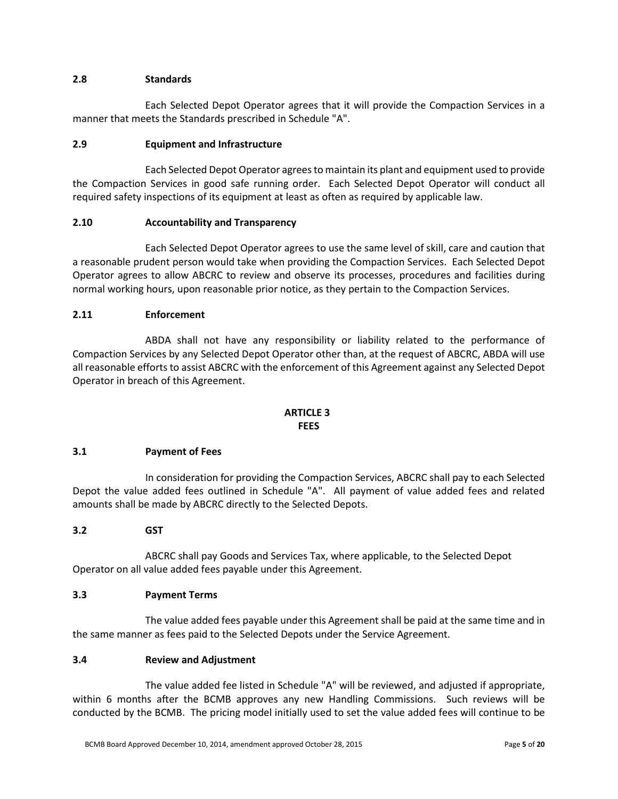# **2.8 Standards**

Each Selected Depot Operator agrees that it will provide the Compaction Services in a manner that meets the Standards prescribed in Schedule "A".

# **2.9 Equipment and Infrastructure**

Each Selected Depot Operator agrees to maintain its plant and equipment used to provide the Compaction Services in good safe running order. Each Selected Depot Operator will conduct all required safety inspections of its equipment at least as often as required by applicable law.

# **2.10 Accountability and Transparency**

Each Selected Depot Operator agrees to use the same level of skill, care and caution that a reasonable prudent person would take when providing the Compaction Services. Each Selected Depot Operator agrees to allow ABCRC to review and observe its processes, procedures and facilities during normal working hours, upon reasonable prior notice, as they pertain to the Compaction Services.

# **2.11 Enforcement**

ABDA shall not have any responsibility or liability related to the performance of Compaction Services by any Selected Depot Operator other than, at the request of ABCRC, ABDA will use all reasonable efforts to assist ABCRC with the enforcement of this Agreement against any Selected Depot Operator in breach of this Agreement.

#### **ARTICLE 3 FEES**

#### **3.1 Payment of Fees**

In consideration for providing the Compaction Services, ABCRC shall pay to each Selected Depot the value added fees outlined in Schedule "A". All payment of value added fees and related amounts shall be made by ABCRC directly to the Selected Depots.

#### **3.2 GST**

ABCRC shall pay Goods and Services Tax, where applicable, to the Selected Depot Operator on all value added fees payable under this Agreement.

#### **3.3 Payment Terms**

The value added fees payable under this Agreement shall be paid at the same time and in the same manner as fees paid to the Selected Depots under the Service Agreement.

#### **3.4 Review and Adjustment**

The value added fee listed in Schedule "A" will be reviewed, and adjusted if appropriate, within 6 months after the BCMB approves any new Handling Commissions. Such reviews will be conducted by the BCMB. The pricing model initially used to set the value added fees will continue to be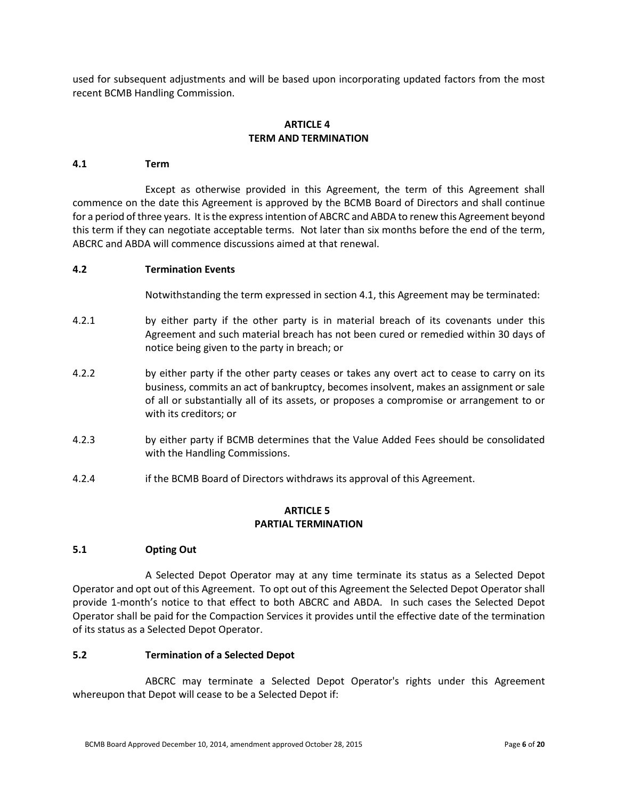used for subsequent adjustments and will be based upon incorporating updated factors from the most recent BCMB Handling Commission.

#### **ARTICLE 4 TERM AND TERMINATION**

#### **4.1 Term**

Except as otherwise provided in this Agreement, the term of this Agreement shall commence on the date this Agreement is approved by the BCMB Board of Directors and shall continue for a period of three years. It is the express intention of ABCRC and ABDA to renew this Agreement beyond this term if they can negotiate acceptable terms. Not later than six months before the end of the term, ABCRC and ABDA will commence discussions aimed at that renewal.

#### **4.2 Termination Events**

Notwithstanding the term expressed in section 4.1, this Agreement may be terminated:

- 4.2.1 by either party if the other party is in material breach of its covenants under this Agreement and such material breach has not been cured or remedied within 30 days of notice being given to the party in breach; or
- 4.2.2 by either party if the other party ceases or takes any overt act to cease to carry on its business, commits an act of bankruptcy, becomes insolvent, makes an assignment or sale of all or substantially all of its assets, or proposes a compromise or arrangement to or with its creditors; or
- 4.2.3 by either party if BCMB determines that the Value Added Fees should be consolidated with the Handling Commissions.
- 4.2.4 if the BCMB Board of Directors withdraws its approval of this Agreement.

#### **ARTICLE 5 PARTIAL TERMINATION**

#### **5.1 Opting Out**

A Selected Depot Operator may at any time terminate its status as a Selected Depot Operator and opt out of this Agreement. To opt out of this Agreement the Selected Depot Operator shall provide 1-month's notice to that effect to both ABCRC and ABDA. In such cases the Selected Depot Operator shall be paid for the Compaction Services it provides until the effective date of the termination of its status as a Selected Depot Operator.

#### **5.2 Termination of a Selected Depot**

ABCRC may terminate a Selected Depot Operator's rights under this Agreement whereupon that Depot will cease to be a Selected Depot if: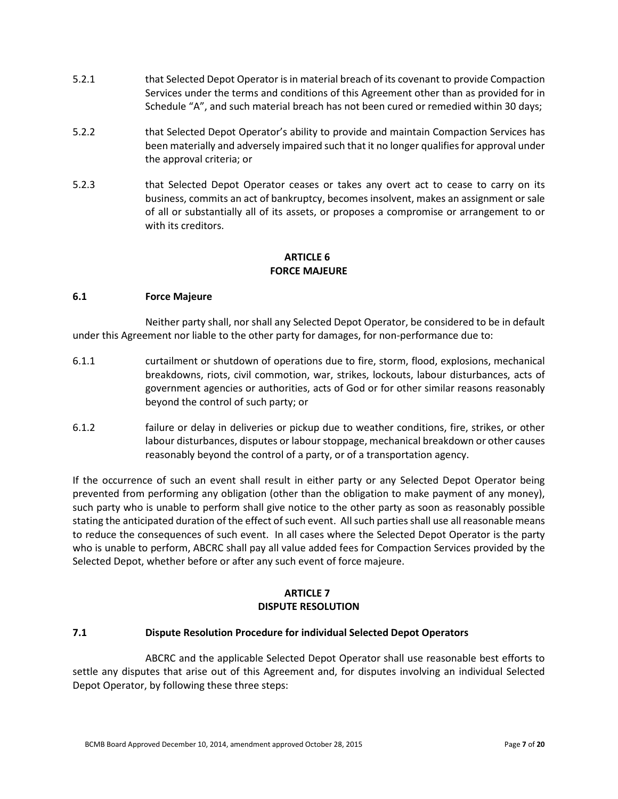- 5.2.1 that Selected Depot Operator is in material breach of its covenant to provide Compaction Services under the terms and conditions of this Agreement other than as provided for in Schedule "A", and such material breach has not been cured or remedied within 30 days;
- 5.2.2 that Selected Depot Operator's ability to provide and maintain Compaction Services has been materially and adversely impaired such that it no longer qualifies for approval under the approval criteria; or
- 5.2.3 that Selected Depot Operator ceases or takes any overt act to cease to carry on its business, commits an act of bankruptcy, becomes insolvent, makes an assignment or sale of all or substantially all of its assets, or proposes a compromise or arrangement to or with its creditors.

# **ARTICLE 6 FORCE MAJEURE**

# **6.1 Force Majeure**

Neither party shall, nor shall any Selected Depot Operator, be considered to be in default under this Agreement nor liable to the other party for damages, for non-performance due to:

- 6.1.1 curtailment or shutdown of operations due to fire, storm, flood, explosions, mechanical breakdowns, riots, civil commotion, war, strikes, lockouts, labour disturbances, acts of government agencies or authorities, acts of God or for other similar reasons reasonably beyond the control of such party; or
- 6.1.2 failure or delay in deliveries or pickup due to weather conditions, fire, strikes, or other labour disturbances, disputes or labour stoppage, mechanical breakdown or other causes reasonably beyond the control of a party, or of a transportation agency.

If the occurrence of such an event shall result in either party or any Selected Depot Operator being prevented from performing any obligation (other than the obligation to make payment of any money), such party who is unable to perform shall give notice to the other party as soon as reasonably possible stating the anticipated duration of the effect of such event. All such parties shall use all reasonable means to reduce the consequences of such event. In all cases where the Selected Depot Operator is the party who is unable to perform, ABCRC shall pay all value added fees for Compaction Services provided by the Selected Depot, whether before or after any such event of force majeure.

# **ARTICLE 7 DISPUTE RESOLUTION**

# **7.1 Dispute Resolution Procedure for individual Selected Depot Operators**

ABCRC and the applicable Selected Depot Operator shall use reasonable best efforts to settle any disputes that arise out of this Agreement and, for disputes involving an individual Selected Depot Operator, by following these three steps: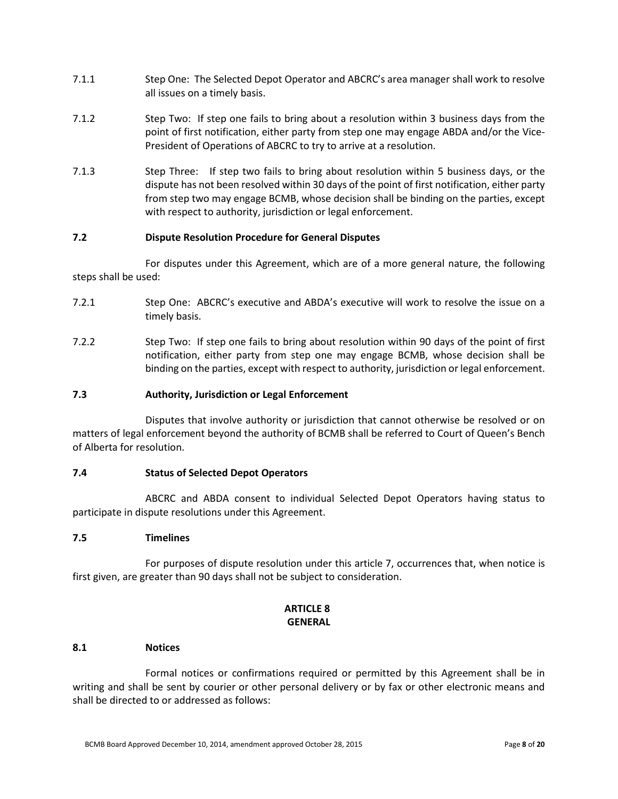- 7.1.1 Step One: The Selected Depot Operator and ABCRC's area manager shall work to resolve all issues on a timely basis.
- 7.1.2 Step Two: If step one fails to bring about a resolution within 3 business days from the point of first notification, either party from step one may engage ABDA and/or the Vice-President of Operations of ABCRC to try to arrive at a resolution.
- 7.1.3 Step Three: If step two fails to bring about resolution within 5 business days, or the dispute has not been resolved within 30 days of the point of first notification, either party from step two may engage BCMB, whose decision shall be binding on the parties, except with respect to authority, jurisdiction or legal enforcement.

#### **7.2 Dispute Resolution Procedure for General Disputes**

For disputes under this Agreement, which are of a more general nature, the following steps shall be used:

- 7.2.1 Step One: ABCRC's executive and ABDA's executive will work to resolve the issue on a timely basis.
- 7.2.2 Step Two: If step one fails to bring about resolution within 90 days of the point of first notification, either party from step one may engage BCMB, whose decision shall be binding on the parties, except with respect to authority, jurisdiction or legal enforcement.

# **7.3 Authority, Jurisdiction or Legal Enforcement**

Disputes that involve authority or jurisdiction that cannot otherwise be resolved or on matters of legal enforcement beyond the authority of BCMB shall be referred to Court of Queen's Bench of Alberta for resolution.

#### **7.4 Status of Selected Depot Operators**

ABCRC and ABDA consent to individual Selected Depot Operators having status to participate in dispute resolutions under this Agreement.

#### **7.5 Timelines**

For purposes of dispute resolution under this article 7, occurrences that, when notice is first given, are greater than 90 days shall not be subject to consideration.

# **ARTICLE 8 GENERAL**

#### **8.1 Notices**

Formal notices or confirmations required or permitted by this Agreement shall be in writing and shall be sent by courier or other personal delivery or by fax or other electronic means and shall be directed to or addressed as follows: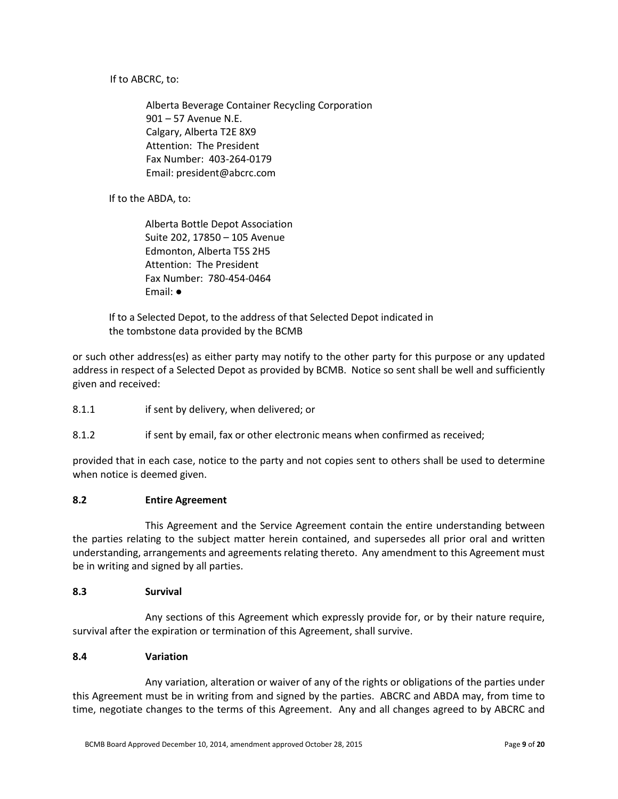If to ABCRC, to:

Alberta Beverage Container Recycling Corporation 901 – 57 Avenue N.E. Calgary, Alberta T2E 8X9 Attention: The President Fax Number: 403-264-0179 Email: president@abcrc.com

If to the ABDA, to:

Alberta Bottle Depot Association Suite 202, 17850 – 105 Avenue Edmonton, Alberta T5S 2H5 Attention: The President Fax Number: 780-454-0464 Email: ●

If to a Selected Depot, to the address of that Selected Depot indicated in the tombstone data provided by the BCMB

or such other address(es) as either party may notify to the other party for this purpose or any updated address in respect of a Selected Depot as provided by BCMB. Notice so sent shall be well and sufficiently given and received:

- 8.1.1 if sent by delivery, when delivered; or
- 8.1.2 if sent by email, fax or other electronic means when confirmed as received;

provided that in each case, notice to the party and not copies sent to others shall be used to determine when notice is deemed given.

#### **8.2 Entire Agreement**

This Agreement and the Service Agreement contain the entire understanding between the parties relating to the subject matter herein contained, and supersedes all prior oral and written understanding, arrangements and agreements relating thereto. Any amendment to this Agreement must be in writing and signed by all parties.

#### **8.3 Survival**

Any sections of this Agreement which expressly provide for, or by their nature require, survival after the expiration or termination of this Agreement, shall survive.

#### **8.4 Variation**

Any variation, alteration or waiver of any of the rights or obligations of the parties under this Agreement must be in writing from and signed by the parties. ABCRC and ABDA may, from time to time, negotiate changes to the terms of this Agreement. Any and all changes agreed to by ABCRC and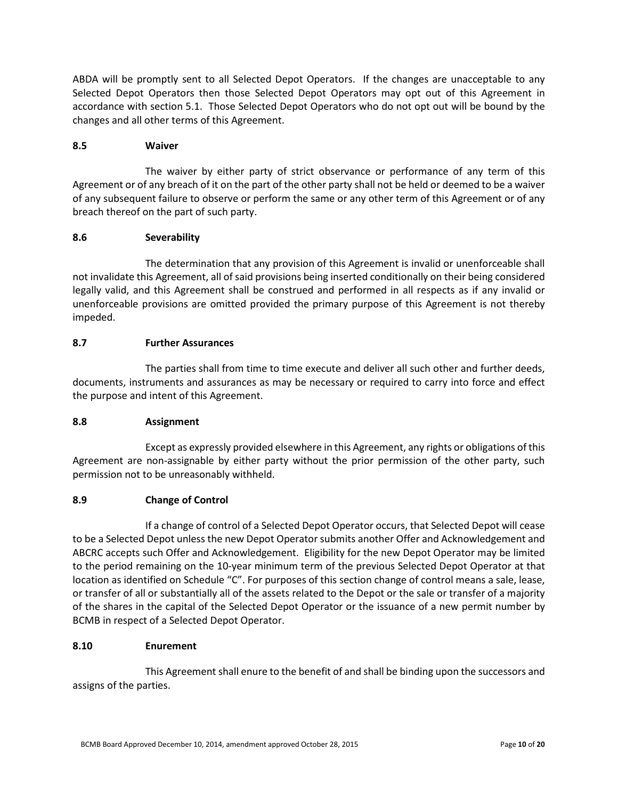ABDA will be promptly sent to all Selected Depot Operators. If the changes are unacceptable to any Selected Depot Operators then those Selected Depot Operators may opt out of this Agreement in accordance with section 5.1. Those Selected Depot Operators who do not opt out will be bound by the changes and all other terms of this Agreement.

# **8.5 Waiver**

The waiver by either party of strict observance or performance of any term of this Agreement or of any breach of it on the part of the other party shall not be held or deemed to be a waiver of any subsequent failure to observe or perform the same or any other term of this Agreement or of any breach thereof on the part of such party.

# **8.6 Severability**

The determination that any provision of this Agreement is invalid or unenforceable shall not invalidate this Agreement, all of said provisions being inserted conditionally on their being considered legally valid, and this Agreement shall be construed and performed in all respects as if any invalid or unenforceable provisions are omitted provided the primary purpose of this Agreement is not thereby impeded.

# **8.7 Further Assurances**

The parties shall from time to time execute and deliver all such other and further deeds, documents, instruments and assurances as may be necessary or required to carry into force and effect the purpose and intent of this Agreement.

# **8.8 Assignment**

Except as expressly provided elsewhere in this Agreement, any rights or obligations of this Agreement are non-assignable by either party without the prior permission of the other party, such permission not to be unreasonably withheld.

# **8.9 Change of Control**

If a change of control of a Selected Depot Operator occurs, that Selected Depot will cease to be a Selected Depot unless the new Depot Operator submits another Offer and Acknowledgement and ABCRC accepts such Offer and Acknowledgement. Eligibility for the new Depot Operator may be limited to the period remaining on the 10-year minimum term of the previous Selected Depot Operator at that location as identified on Schedule "C". For purposes of this section change of control means a sale, lease, or transfer of all or substantially all of the assets related to the Depot or the sale or transfer of a majority of the shares in the capital of the Selected Depot Operator or the issuance of a new permit number by BCMB in respect of a Selected Depot Operator.

# **8.10 Enurement**

This Agreement shall enure to the benefit of and shall be binding upon the successors and assigns of the parties.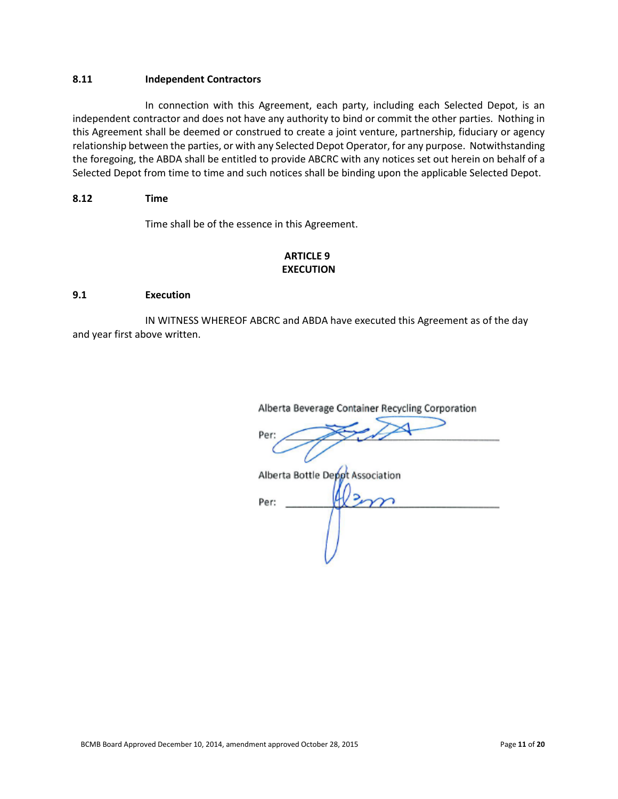# **8.11 Independent Contractors**

In connection with this Agreement, each party, including each Selected Depot, is an independent contractor and does not have any authority to bind or commit the other parties. Nothing in this Agreement shall be deemed or construed to create a joint venture, partnership, fiduciary or agency relationship between the parties, or with any Selected Depot Operator, for any purpose. Notwithstanding the foregoing, the ABDA shall be entitled to provide ABCRC with any notices set out herein on behalf of a Selected Depot from time to time and such notices shall be binding upon the applicable Selected Depot.

# **8.12 Time**

Time shall be of the essence in this Agreement.

# **ARTICLE 9 EXECUTION**

# **9.1 Execution**

IN WITNESS WHEREOF ABCRC and ABDA have executed this Agreement as of the day and year first above written.

Alberta Beverage Container Recycling Corporation

Per:

Alberta Bottle Depot Association

Per: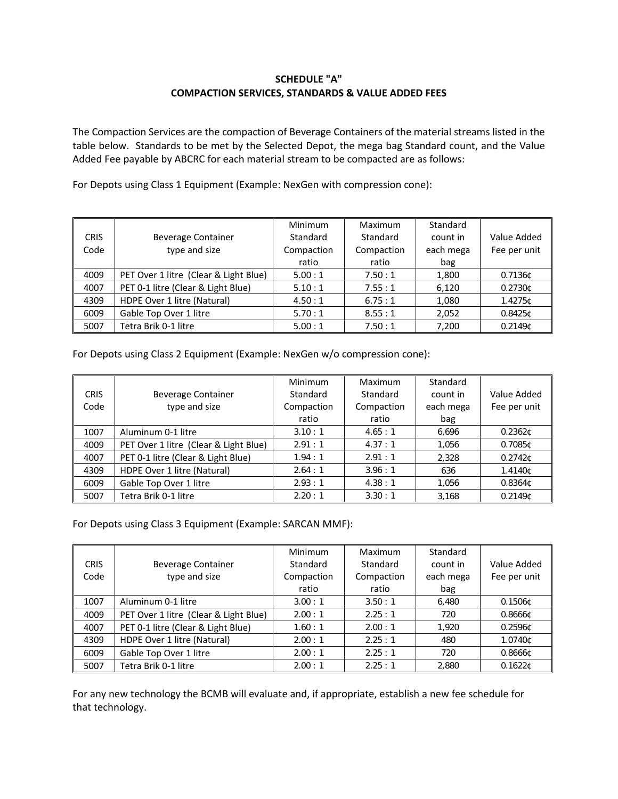# **SCHEDULE "A" COMPACTION SERVICES, STANDARDS & VALUE ADDED FEES**

The Compaction Services are the compaction of Beverage Containers of the material streams listed in the table below. Standards to be met by the Selected Depot, the mega bag Standard count, and the Value Added Fee payable by ABCRC for each material stream to be compacted are as follows:

For Depots using Class 1 Equipment (Example: NexGen with compression cone):

|             |                                       | <b>Minimum</b> | Maximum    | Standard  |              |
|-------------|---------------------------------------|----------------|------------|-----------|--------------|
| <b>CRIS</b> | <b>Beverage Container</b>             | Standard       | Standard   | count in  | Value Added  |
| Code        | type and size                         | Compaction     | Compaction | each mega | Fee per unit |
|             |                                       | ratio          | ratio      | bag       |              |
| 4009        | PET Over 1 litre (Clear & Light Blue) | 5.00:1         | 7.50:1     | 1,800     | $0.7136$ ¢   |
| 4007        | PET 0-1 litre (Clear & Light Blue)    | 5.10:1         | 7.55:1     | 6,120     | $0.2730$ ¢   |
| 4309        | HDPE Over 1 litre (Natural)           | 4.50:1         | 6.75:1     | 1,080     | 1.4275¢      |
| 6009        | Gable Top Over 1 litre                | 5.70:1         | 8.55:1     | 2,052     | $0.8425$ ¢   |
| 5007        | Tetra Brik 0-1 litre                  | 5.00:1         | 7.50:1     | 7,200     | 0.21490      |

For Depots using Class 2 Equipment (Example: NexGen w/o compression cone):

|             |                                       | Minimum    | Maximum    | Standard  |              |
|-------------|---------------------------------------|------------|------------|-----------|--------------|
| <b>CRIS</b> | <b>Beverage Container</b>             | Standard   | Standard   | count in  | Value Added  |
| Code        | type and size                         | Compaction | Compaction | each mega | Fee per unit |
|             |                                       | ratio      | ratio      | bag       |              |
| 1007        | Aluminum 0-1 litre                    | 3.10:1     | 4.65:1     | 6,696     | $0.2362$ ¢   |
| 4009        | PET Over 1 litre (Clear & Light Blue) | 2.91:1     | 4.37:1     | 1.056     | 0.7085C      |
| 4007        | PET 0-1 litre (Clear & Light Blue)    | 1.94:1     | 2.91:1     | 2.328     | $0.2742$ ¢   |
| 4309        | HDPE Over 1 litre (Natural)           | 2.64:1     | 3.96:1     | 636       | 1.4140¢      |
| 6009        | Gable Top Over 1 litre                | 2.93:1     | 4.38:1     | 1.056     | 0.83640      |
| 5007        | Tetra Brik 0-1 litre                  | 2.20:1     | 3.30:1     | 3.168     | $0.2149$ ¢   |

For Depots using Class 3 Equipment (Example: SARCAN MMF):

|             |                                       | Minimum    | Maximum    | Standard  |              |
|-------------|---------------------------------------|------------|------------|-----------|--------------|
| <b>CRIS</b> | <b>Beverage Container</b>             | Standard   | Standard   | count in  | Value Added  |
| Code        | type and size                         | Compaction | Compaction | each mega | Fee per unit |
|             |                                       | ratio      | ratio      | bag       |              |
| 1007        | Aluminum 0-1 litre                    | 3.00 : 1   | 3.50:1     | 6,480     | $0.1506$ ¢   |
| 4009        | PET Over 1 litre (Clear & Light Blue) | 2.00:1     | 2.25:1     | 720       | 0.86660      |
| 4007        | PET 0-1 litre (Clear & Light Blue)    | 1.60:1     | 2.00:1     | 1,920     | $0.2596$ ¢   |
| 4309        | HDPE Over 1 litre (Natural)           | 2.00:1     | 2.25:1     | 480       | 1.0740¢      |
| 6009        | Gable Top Over 1 litre                | 2.00:1     | 2.25:1     | 720       | 0.86660      |
| 5007        | Tetra Brik 0-1 litre                  | 2.00:1     | 2.25:1     | 2.880     | 0.1622C      |

For any new technology the BCMB will evaluate and, if appropriate, establish a new fee schedule for that technology.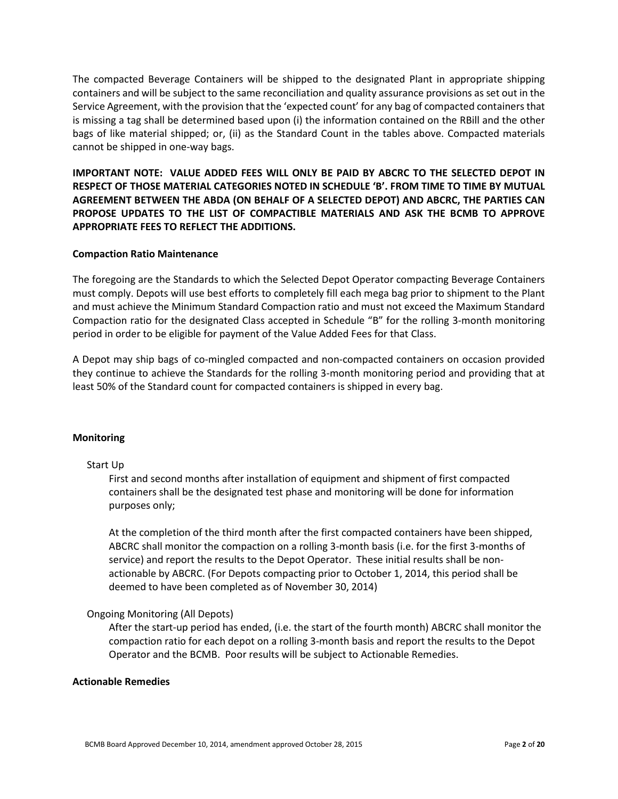The compacted Beverage Containers will be shipped to the designated Plant in appropriate shipping containers and will be subject to the same reconciliation and quality assurance provisions as set out in the Service Agreement, with the provision that the 'expected count' for any bag of compacted containers that is missing a tag shall be determined based upon (i) the information contained on the RBill and the other bags of like material shipped; or, (ii) as the Standard Count in the tables above. Compacted materials cannot be shipped in one-way bags.

**IMPORTANT NOTE: VALUE ADDED FEES WILL ONLY BE PAID BY ABCRC TO THE SELECTED DEPOT IN RESPECT OF THOSE MATERIAL CATEGORIES NOTED IN SCHEDULE 'B'. FROM TIME TO TIME BY MUTUAL AGREEMENT BETWEEN THE ABDA (ON BEHALF OF A SELECTED DEPOT) AND ABCRC, THE PARTIES CAN PROPOSE UPDATES TO THE LIST OF COMPACTIBLE MATERIALS AND ASK THE BCMB TO APPROVE APPROPRIATE FEES TO REFLECT THE ADDITIONS.**

#### **Compaction Ratio Maintenance**

The foregoing are the Standards to which the Selected Depot Operator compacting Beverage Containers must comply. Depots will use best efforts to completely fill each mega bag prior to shipment to the Plant and must achieve the Minimum Standard Compaction ratio and must not exceed the Maximum Standard Compaction ratio for the designated Class accepted in Schedule "B" for the rolling 3-month monitoring period in order to be eligible for payment of the Value Added Fees for that Class.

A Depot may ship bags of co-mingled compacted and non-compacted containers on occasion provided they continue to achieve the Standards for the rolling 3-month monitoring period and providing that at least 50% of the Standard count for compacted containers is shipped in every bag.

#### **Monitoring**

#### Start Up

First and second months after installation of equipment and shipment of first compacted containers shall be the designated test phase and monitoring will be done for information purposes only;

At the completion of the third month after the first compacted containers have been shipped, ABCRC shall monitor the compaction on a rolling 3-month basis (i.e. for the first 3-months of service) and report the results to the Depot Operator. These initial results shall be nonactionable by ABCRC. (For Depots compacting prior to October 1, 2014, this period shall be deemed to have been completed as of November 30, 2014)

#### Ongoing Monitoring (All Depots)

After the start-up period has ended, (i.e. the start of the fourth month) ABCRC shall monitor the compaction ratio for each depot on a rolling 3-month basis and report the results to the Depot Operator and the BCMB. Poor results will be subject to Actionable Remedies.

#### **Actionable Remedies**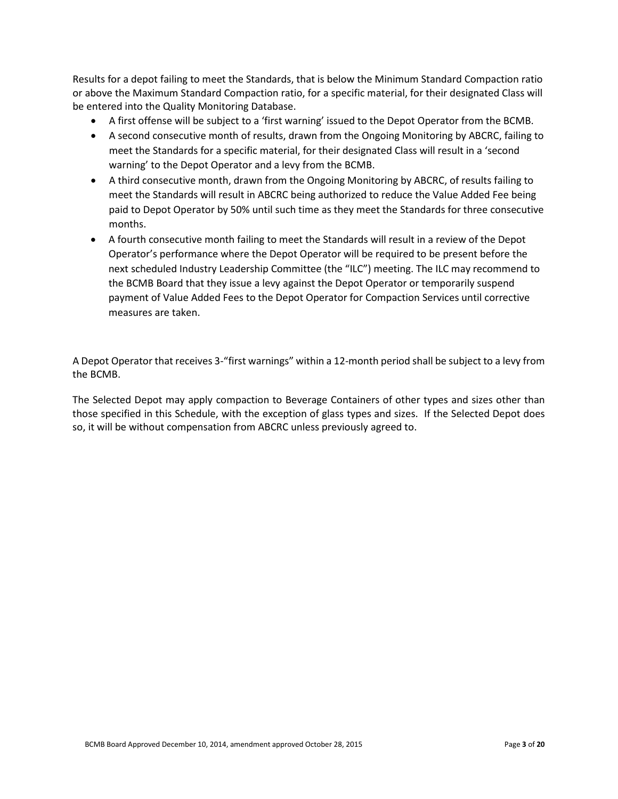Results for a depot failing to meet the Standards, that is below the Minimum Standard Compaction ratio or above the Maximum Standard Compaction ratio, for a specific material, for their designated Class will be entered into the Quality Monitoring Database.

- A first offense will be subject to a 'first warning' issued to the Depot Operator from the BCMB.
- A second consecutive month of results, drawn from the Ongoing Monitoring by ABCRC, failing to meet the Standards for a specific material, for their designated Class will result in a 'second warning' to the Depot Operator and a levy from the BCMB.
- A third consecutive month, drawn from the Ongoing Monitoring by ABCRC, of results failing to meet the Standards will result in ABCRC being authorized to reduce the Value Added Fee being paid to Depot Operator by 50% until such time as they meet the Standards for three consecutive months.
- A fourth consecutive month failing to meet the Standards will result in a review of the Depot Operator's performance where the Depot Operator will be required to be present before the next scheduled Industry Leadership Committee (the "ILC") meeting. The ILC may recommend to the BCMB Board that they issue a levy against the Depot Operator or temporarily suspend payment of Value Added Fees to the Depot Operator for Compaction Services until corrective measures are taken.

A Depot Operator that receives 3-"first warnings" within a 12-month period shall be subject to a levy from the BCMB.

The Selected Depot may apply compaction to Beverage Containers of other types and sizes other than those specified in this Schedule, with the exception of glass types and sizes. If the Selected Depot does so, it will be without compensation from ABCRC unless previously agreed to.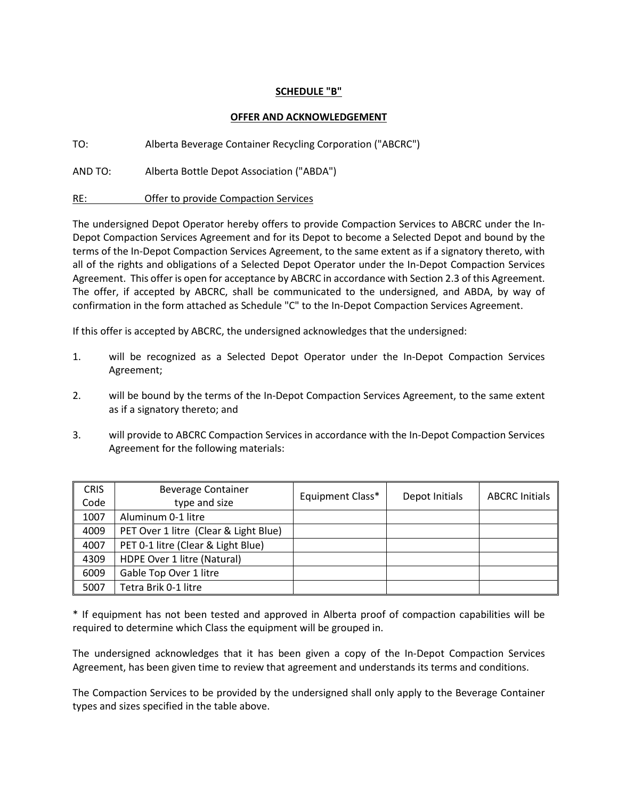# **SCHEDULE "B"**

# **OFFER AND ACKNOWLEDGEMENT**

TO: Alberta Beverage Container Recycling Corporation ("ABCRC")

AND TO: Alberta Bottle Depot Association ("ABDA")

RE: Offer to provide Compaction Services

The undersigned Depot Operator hereby offers to provide Compaction Services to ABCRC under the In-Depot Compaction Services Agreement and for its Depot to become a Selected Depot and bound by the terms of the In-Depot Compaction Services Agreement, to the same extent as if a signatory thereto, with all of the rights and obligations of a Selected Depot Operator under the In-Depot Compaction Services Agreement. This offer is open for acceptance by ABCRC in accordance with Section 2.3 of this Agreement. The offer, if accepted by ABCRC, shall be communicated to the undersigned, and ABDA, by way of confirmation in the form attached as Schedule "C" to the In-Depot Compaction Services Agreement.

If this offer is accepted by ABCRC, the undersigned acknowledges that the undersigned:

- 1. will be recognized as a Selected Depot Operator under the In-Depot Compaction Services Agreement;
- 2. will be bound by the terms of the In-Depot Compaction Services Agreement, to the same extent as if a signatory thereto; and
- 3. will provide to ABCRC Compaction Services in accordance with the In-Depot Compaction Services Agreement for the following materials:

| <b>CRIS</b> | <b>Beverage Container</b>             | Equipment Class* | Depot Initials | <b>ABCRC Initials</b> |
|-------------|---------------------------------------|------------------|----------------|-----------------------|
| Code        | type and size                         |                  |                |                       |
| 1007        | Aluminum 0-1 litre                    |                  |                |                       |
| 4009        | PET Over 1 litre (Clear & Light Blue) |                  |                |                       |
| 4007        | PET 0-1 litre (Clear & Light Blue)    |                  |                |                       |
| 4309        | HDPE Over 1 litre (Natural)           |                  |                |                       |
| 6009        | Gable Top Over 1 litre                |                  |                |                       |
| 5007        | Tetra Brik 0-1 litre                  |                  |                |                       |

\* If equipment has not been tested and approved in Alberta proof of compaction capabilities will be required to determine which Class the equipment will be grouped in.

The undersigned acknowledges that it has been given a copy of the In-Depot Compaction Services Agreement, has been given time to review that agreement and understands its terms and conditions.

The Compaction Services to be provided by the undersigned shall only apply to the Beverage Container types and sizes specified in the table above.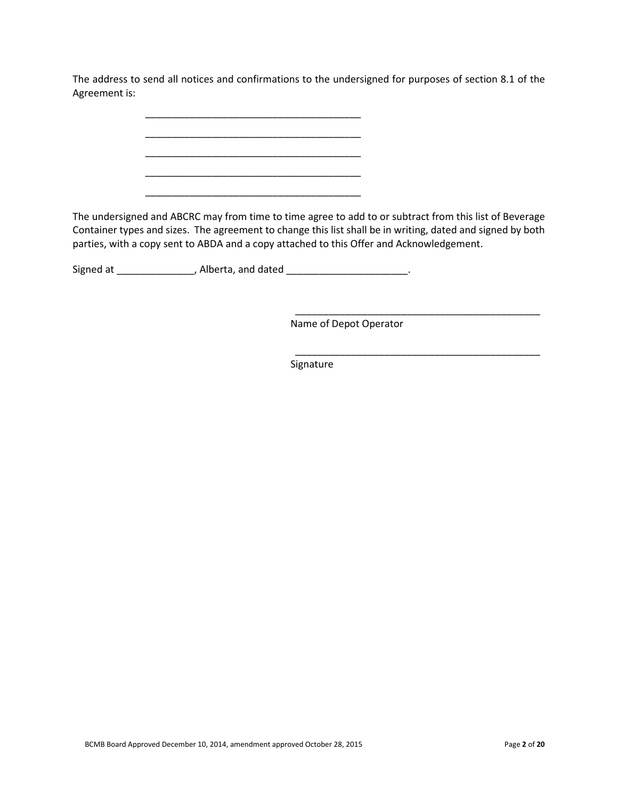The address to send all notices and confirmations to the undersigned for purposes of section 8.1 of the Agreement is:

The undersigned and ABCRC may from time to time agree to add to or subtract from this list of Beverage Container types and sizes. The agreement to change this list shall be in writing, dated and signed by both parties, with a copy sent to ABDA and a copy attached to this Offer and Acknowledgement.

Signed at \_\_\_\_\_\_\_\_\_\_\_\_\_\_\_, Alberta, and dated \_\_\_\_\_\_\_\_\_\_\_\_\_\_\_\_\_\_\_\_\_\_\_.

\_\_\_\_\_\_\_\_\_\_\_\_\_\_\_\_\_\_\_\_\_\_\_\_\_\_\_\_\_\_\_\_\_\_\_\_\_\_\_ \_\_\_\_\_\_\_\_\_\_\_\_\_\_\_\_\_\_\_\_\_\_\_\_\_\_\_\_\_\_\_\_\_\_\_\_\_\_\_ \_\_\_\_\_\_\_\_\_\_\_\_\_\_\_\_\_\_\_\_\_\_\_\_\_\_\_\_\_\_\_\_\_\_\_\_\_\_\_

\_\_\_\_\_\_\_\_\_\_\_\_\_\_\_\_\_\_\_\_\_\_\_\_\_\_\_\_\_\_\_\_\_\_\_\_\_\_\_

Name of Depot Operator

\_\_\_\_\_\_\_\_\_\_\_\_\_\_\_\_\_\_\_\_\_\_\_\_\_\_\_\_\_\_\_\_\_\_\_\_\_\_\_\_\_\_\_\_

\_\_\_\_\_\_\_\_\_\_\_\_\_\_\_\_\_\_\_\_\_\_\_\_\_\_\_\_\_\_\_\_\_\_\_\_\_\_\_\_\_\_\_\_

Signature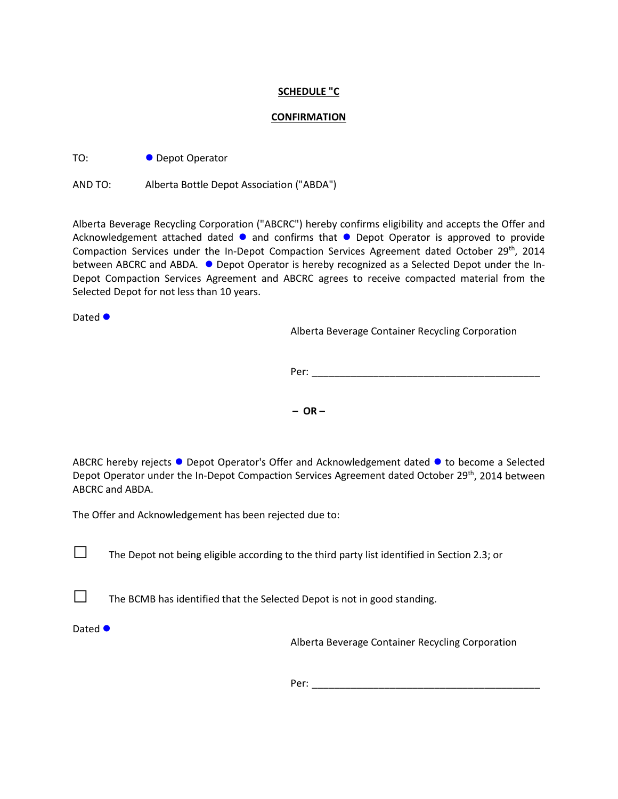# **SCHEDULE "C**

# **CONFIRMATION**

TO: **O** Depot Operator

AND TO: Alberta Bottle Depot Association ("ABDA")

Alberta Beverage Recycling Corporation ("ABCRC") hereby confirms eligibility and accepts the Offer and Acknowledgement attached dated  $\bullet$  and confirms that  $\bullet$  Depot Operator is approved to provide Compaction Services under the In-Depot Compaction Services Agreement dated October 29<sup>th</sup>, 2014 between ABCRC and ABDA.  $\bullet$  Depot Operator is hereby recognized as a Selected Depot under the In-Depot Compaction Services Agreement and ABCRC agrees to receive compacted material from the Selected Depot for not less than 10 years.

Dated  $\bullet$ 

Alberta Beverage Container Recycling Corporation

Per: \_\_\_\_\_\_\_\_\_\_\_\_\_\_\_\_\_\_\_\_\_\_\_\_\_\_\_\_\_\_\_\_\_\_\_\_\_\_\_\_\_

**– OR –**

ABCRC hereby rejects  $\bullet$  Depot Operator's Offer and Acknowledgement dated  $\bullet$  to become a Selected Depot Operator under the In-Depot Compaction Services Agreement dated October 29<sup>th</sup>, 2014 between ABCRC and ABDA.

The Offer and Acknowledgement has been rejected due to:

 $\Box$  The Depot not being eligible according to the third party list identified in Section 2.3; or

 $\Box$  The BCMB has identified that the Selected Depot is not in good standing.

Dated  $\bullet$ 

Alberta Beverage Container Recycling Corporation

Per: where  $\overline{P}$